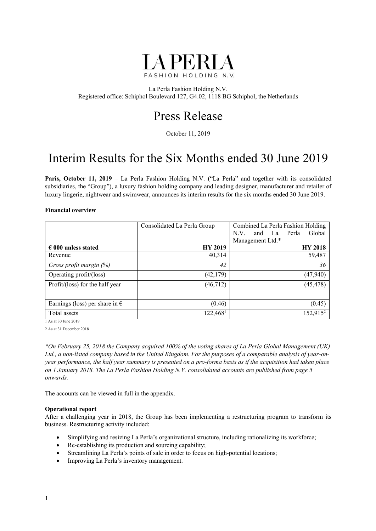

La Perla Fashion Holding N.V. Registered office: Schiphol Boulevard 127, G4.02, 1118 BG Schiphol, the Netherlands

## Press Release

October 11, 2019

## Interim Results for the Six Months ended 30 June 2019

Paris, October 11, 2019 – La Perla Fashion Holding N.V. ("La Perla" and together with its consolidated subsidiaries, the "Group"), a luxury fashion holding company and leading designer, manufacturer and retailer of luxury lingerie, nightwear and swimwear, announces its interim results for the six months ended 30 June 2019.

#### **Financial overview**

|                                         | Consolidated La Perla Group | Combined La Perla Fashion Holding |
|-----------------------------------------|-----------------------------|-----------------------------------|
|                                         |                             | Perla<br>Global<br>N.V.<br>and La |
|                                         |                             | Management Ltd.*                  |
| $\epsilon$ 000 unless stated            | <b>HY 2019</b>              | <b>HY 2018</b>                    |
| Revenue                                 | 40,314                      | 59,487                            |
| Gross profit margin (%)                 | 42                          | 36                                |
| Operating profit/(loss)                 | (42, 179)                   | (47, 940)                         |
| Profit/(loss) for the half year         | (46, 712)                   | (45, 478)                         |
|                                         |                             |                                   |
| Earnings (loss) per share in $\epsilon$ | (0.46)                      | (0.45)                            |
| Total assets                            | 122,468 <sup>1</sup>        | 152,915 <sup>2</sup>              |

1 As at 30 June 2019

2 As at 31 December 2018

*\*On February 25, 2018 the Company acquired 100% of the voting shares of La Perla Global Management (UK) Ltd., a non-listed company based in the United Kingdom. For the purposes of a comparable analysis of year-onyear performance, the half year summary is presented on a pro-forma basis as if the acquisition had taken place on 1 January 2018. The La Perla Fashion Holding N.V. consolidated accounts are published from page 5 onwards.* 

The accounts can be viewed in full in the appendix.

#### **Operational report**

After a challenging year in 2018, the Group has been implementing a restructuring program to transform its business. Restructuring activity included:

- Simplifying and resizing La Perla's organizational structure, including rationalizing its workforce;
- Re-establishing its production and sourcing capability;
- Streamlining La Perla's points of sale in order to focus on high-potential locations;
- Improving La Perla's inventory management.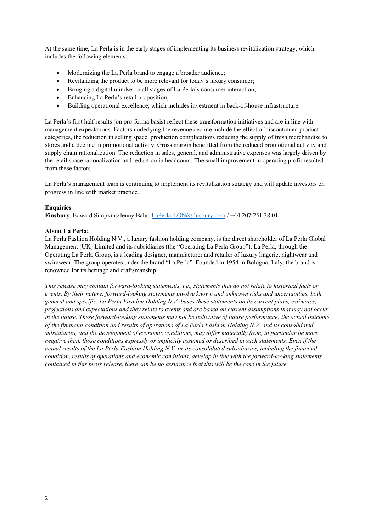At the same time, La Perla is in the early stages of implementing its business revitalization strategy, which includes the following elements:

- Modernizing the La Perla brand to engage a broader audience;
- Revitalizing the product to be more relevant for today's luxury consumer;
- Bringing a digital mindset to all stages of La Perla's consumer interaction;
- Enhancing La Perla's retail proposition;
- Building operational excellence, which includes investment in back-of-house infrastructure.

La Perla's first half results (on pro-forma basis) reflect these transformation initiatives and are in line with management expectations. Factors underlying the revenue decline include the effect of discontinued product categories, the reduction in selling space, production complications reducing the supply of fresh merchandise to stores and a decline in promotional activity. Gross margin benefitted from the reduced promotional activity and supply chain rationalization. The reduction in sales, general, and administrative expenses was largely driven by the retail space rationalization and reduction in headcount. The small improvement in operating profit resulted from these factors.

La Perla's management team is continuing to implement its revitalization strategy and will update investors on progress in line with market practice.

#### **Enquiries**

**Finsbury**, Edward Simpkins/Jenny Bahr: LaPerla-LON@finsbury.com / +44 207 251 38 01

#### **About La Perla:**

La Perla Fashion Holding N.V., a luxury fashion holding company, is the direct shareholder of La Perla Global Management (UK) Limited and its subsidiaries (the "Operating La Perla Group"). La Perla, through the Operating La Perla Group, is a leading designer, manufacturer and retailer of luxury lingerie, nightwear and swimwear. The group operates under the brand "La Perla". Founded in 1954 in Bologna, Italy, the brand is renowned for its heritage and craftsmanship.

*This release may contain forward-looking statements, i.e., statements that do not relate to historical facts or events. By their nature, forward-looking statements involve known and unknown risks and uncertainties, both general and specific. La Perla Fashion Holding N.V. bases these statements on its current plans, estimates, projections and expectations and they relate to events and are based on current assumptions that may not occur in the future. These forward-looking statements may not be indicative of future performance; the actual outcome of the financial condition and results of operations of La Perla Fashion Holding N.V. and its consolidated subsidiaries, and the development of economic conditions, may differ materially from, in particular be more negative than, those conditions expressly or implicitly assumed or described in such statements. Even if the actual results of the La Perla Fashion Holding N.V. or its consolidated subsidiaries, including the financial condition, results of operations and economic conditions, develop in line with the forward-looking statements contained in this press release, there can be no assurance that this will be the case in the future.*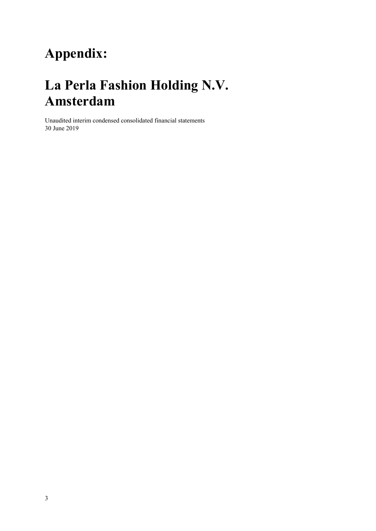# **Appendix:**

# **La Perla Fashion Holding N.V. Amsterdam**

Unaudited interim condensed consolidated financial statements 30 June 2019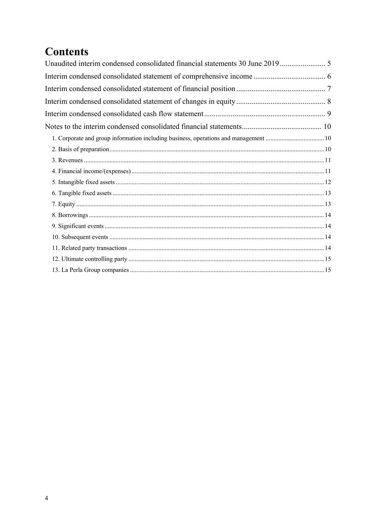## **Contents**

| Unaudited interim condensed consolidated financial statements 30 June 2019  5 |
|-------------------------------------------------------------------------------|
|                                                                               |
|                                                                               |
|                                                                               |
|                                                                               |
|                                                                               |
|                                                                               |
|                                                                               |
|                                                                               |
|                                                                               |
|                                                                               |
|                                                                               |
|                                                                               |
|                                                                               |
|                                                                               |
|                                                                               |
|                                                                               |
|                                                                               |
|                                                                               |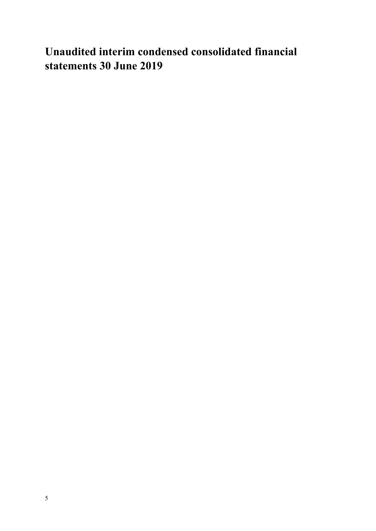## **Unaudited interim condensed consolidated financial statements 30 June 2019**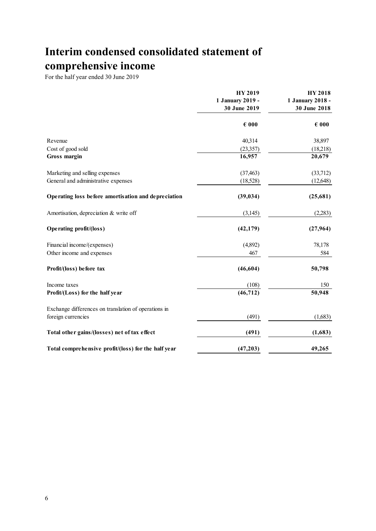## **Interim condensed consolidated statement of comprehensive income**

|                                                      | <b>HY 2019</b><br>1 January 2019 -<br>30 June 2019 | <b>HY 2018</b><br>1 January 2018 -<br>30 June 2018 |  |
|------------------------------------------------------|----------------------------------------------------|----------------------------------------------------|--|
|                                                      | $\epsilon$ 000                                     | $\epsilon$ 000                                     |  |
| Revenue                                              | 40,314                                             | 38,897                                             |  |
| Cost of good sold                                    | (23,357)                                           | (18,218)                                           |  |
| <b>Gross margin</b>                                  | 16,957                                             | 20,679                                             |  |
| Marketing and selling expenses                       | (37, 463)                                          | (33,712)                                           |  |
| General and administrative expenses                  | (18,528)                                           | (12, 648)                                          |  |
| Operating loss before amortisation and depreciation  | (39, 034)                                          | (25,681)                                           |  |
| Amortisation, depreciation & write off               | (3,145)                                            | (2,283)                                            |  |
| Operating profit/(loss)                              | (42, 179)                                          | (27, 964)                                          |  |
| Financial income/(expenses)                          | (4,892)                                            | 78,178                                             |  |
| Other income and expenses                            | 467                                                | 584                                                |  |
| Profit/(loss) before tax                             | (46, 604)                                          | 50,798                                             |  |
| Income taxes                                         | (108)                                              | 150                                                |  |
| Profit/(Loss) for the half year                      | $\overline{(46,712)}$                              | 50,948                                             |  |
| Exchange differences on translation of operations in |                                                    |                                                    |  |
| foreign currencies                                   | (491)                                              | (1,683)                                            |  |
| Total other gains/(losses) net of tax effect         | (491)                                              | (1,683)                                            |  |
| Total comprehensive profit/(loss) for the half year  | (47, 203)                                          | 49,265                                             |  |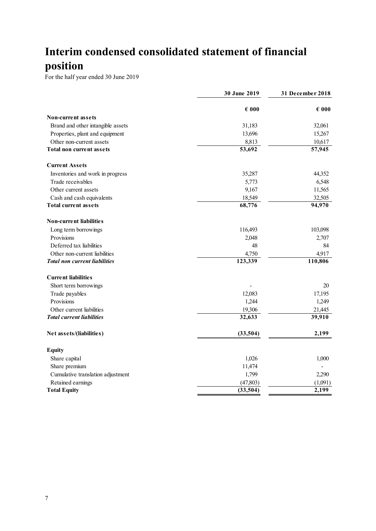## **Interim condensed consolidated statement of financial position**

|                                      | 30 June 2019   | 31 December 2018 |  |
|--------------------------------------|----------------|------------------|--|
|                                      | $\epsilon$ 000 | $\epsilon$ 000   |  |
| <b>Non-current assets</b>            |                |                  |  |
| Brand and other intangible assets    | 31,183         | 32,061           |  |
| Properties, plant and equipment      | 13,696         | 15,267           |  |
| Other non-current assets             | 8,813          | 10,617           |  |
| <b>Total non current assets</b>      | 53,692         | 57,945           |  |
| <b>Current Assets</b>                |                |                  |  |
| Inventories and work in progress     | 35,287         | 44,352           |  |
| Trade receivables                    | 5,773          | 6,548            |  |
| Other current assets                 | 9,167          | 11,565           |  |
| Cash and cash equivalents            | 18,549         | 32,505           |  |
| <b>Total current assets</b>          | 68,776         | 94,970           |  |
| <b>Non-current liabilities</b>       |                |                  |  |
| Long term borrowings                 | 116,493        | 103,098          |  |
| Provisions                           | 2,048          | 2,707            |  |
| Deferred tax liabilities             | 48             | 84               |  |
| Other non-current liabilities        | 4,750          | 4,917            |  |
| <b>Total non current liabilities</b> | 123,339        | 110,806          |  |
| <b>Current liabilities</b>           |                |                  |  |
| Short term borrowings                |                | 20               |  |
| Trade payables                       | 12,083         | 17,195           |  |
| Provisions                           | 1,244          | 1,249            |  |
| Other current liabilities            | 19,306         | 21,445           |  |
| <b>Total current liabilities</b>     | 32,633         | 39,910           |  |
| Net assets/(liabilities)             | (33,504)       | 2,199            |  |
| <b>Equity</b>                        |                |                  |  |
| Share capital                        | 1,026          | 1,000            |  |
| Share premium                        | 11,474         |                  |  |
| Cumulative translation adjustment    | 1,799          | 2,290            |  |
| Retained earnings                    | (47, 803)      | (1,091)          |  |
| <b>Total Equity</b>                  | (33,504)       | 2,199            |  |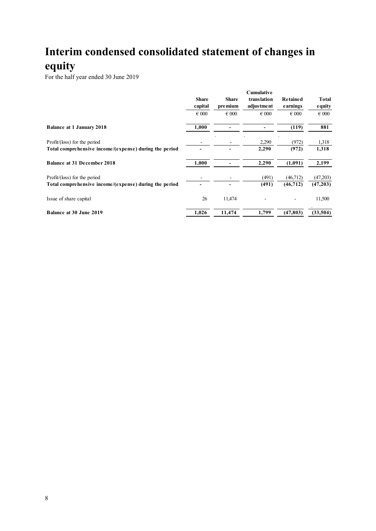## **Interim condensed consolidated statement of changes in equity**

|                                                        |                         |                          | Cumulative<br>translation<br>adjustment | <b>Retained</b><br>earnings | Total<br>equity |
|--------------------------------------------------------|-------------------------|--------------------------|-----------------------------------------|-----------------------------|-----------------|
|                                                        | <b>Share</b><br>capital | <b>Share</b><br>pre mium |                                         |                             |                 |
|                                                        | $\epsilon$ 000          | $\epsilon$ 000           | $\epsilon$ 000                          | $\epsilon$ 000              | $\epsilon$ 000  |
| <b>Balance at 1 January 2018</b>                       | 1,000                   |                          |                                         | (119)                       | 881             |
| Profit/(loss) for the period                           |                         |                          | 2,290                                   | (972)                       | 1,318           |
| Total comprehensive income/(expense) during the period |                         |                          | 2,290                                   | (972)                       | 1,318           |
| <b>Balance at 31 December 2018</b>                     | 1,000                   |                          | 2,290                                   | (1,091)                     | 2,199           |
| Profit/(loss) for the period                           |                         |                          | (491)                                   | (46, 712)                   | (47,203)        |
| Total comprehensive income/(expense) during the period |                         |                          | (491)                                   | (46, 712)                   | (47, 203)       |
| Issue of share capital                                 | 26                      | 11,474                   |                                         |                             | 11,500          |
| Balance at 30 June 2019                                | 1,026                   | 11,474                   | 1,799                                   | (47, 803)                   | (33,504)        |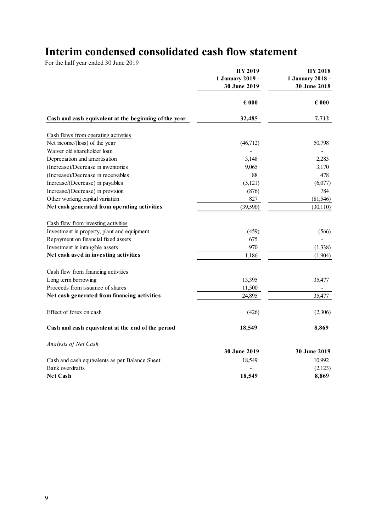## **Interim condensed consolidated cash flow statement**

|                                                       | <b>HY 2019</b><br>1 January 2019 -<br>30 June 2019 | <b>HY 2018</b><br>1 January 2018 -<br>30 June 2018 |  |
|-------------------------------------------------------|----------------------------------------------------|----------------------------------------------------|--|
|                                                       | $\epsilon$ 000                                     | $\epsilon$ 000                                     |  |
| Cash and cash equivalent at the beginning of the year | 32,485                                             | 7,712                                              |  |
|                                                       |                                                    |                                                    |  |
| Cash flows from operating activities                  |                                                    |                                                    |  |
| Net income/(loss) of the year                         | (46,712)                                           | 50,798                                             |  |
| Waiver old shareholder loan                           |                                                    |                                                    |  |
| Depreciation and amortisation                         | 3,148                                              | 2,283                                              |  |
| (Increase)/Decrease in inventories                    | 9,065                                              | 3,170                                              |  |
| (Increase)/Decrease in receivables                    | 88                                                 | 478                                                |  |
| Increase/(Decrease) in payables                       | (5,121)                                            | (6,077)                                            |  |
| Increase/(Decrease) in provision                      | (876)                                              | 784                                                |  |
| Other working capital variation                       | 827                                                | (81, 546)                                          |  |
| Net cash generated from operating activities          | (39,590)                                           | (30, 110)                                          |  |
| Cash flow from investing activities                   |                                                    |                                                    |  |
| Investment in property, plant and equipment           | (459)                                              | (566)                                              |  |
| Repayment on financial fixed assets                   | 675                                                |                                                    |  |
| Investment in intangible assets                       | 970                                                | (1,338)                                            |  |
| Net cash used in investing activities                 | 1,186                                              | (1,904)                                            |  |
| Cash flow from financing activities                   |                                                    |                                                    |  |
| Long term borrowing                                   | 13,395                                             | 35,477                                             |  |
| Proceeds from issuance of shares                      | 11,500                                             |                                                    |  |
| Net cash generated from financing activities          | 24,895                                             | 35,477                                             |  |
| Effect of forex on cash                               | (426)                                              | (2,306)                                            |  |
| Cash and cash equivalent at the end of the period     | 18,549                                             | 8,869                                              |  |
|                                                       |                                                    |                                                    |  |
| Analysis of Net Cash                                  |                                                    |                                                    |  |
|                                                       | 30 June 2019                                       | 30 June 2019                                       |  |
| Cash and cash equivalents as per Balance Sheet        | 18,549                                             | 10,992                                             |  |
| Bank overdrafts                                       |                                                    | (2,123)                                            |  |
| <b>Net Cash</b>                                       | 18,549                                             | 8,869                                              |  |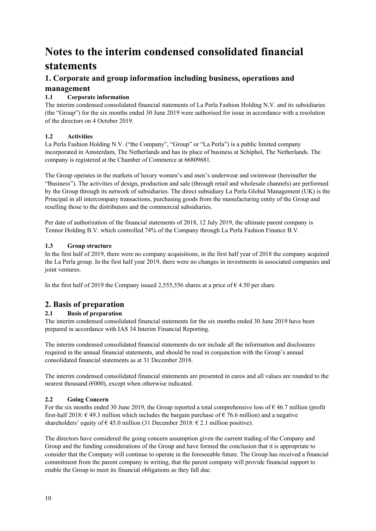## **Notes to the interim condensed consolidated financial statements**

### **1. Corporate and group information including business, operations and management**

#### **1.1 Corporate information**

The interim condensed consolidated financial statements of La Perla Fashion Holding N.V. and its subsidiaries (the "Group") for the six months ended 30 June 2019 were authorised for issue in accordance with a resolution of the directors on 4 October 2019.

#### **1.2 Activities**

La Perla Fashion Holding N.V. ("the Company", "Group" or "La Perla") is a public limited company incorporated in Amsterdam, The Netherlands and has its place of business at Schiphol, The Netherlands. The company is registered at the Chamber of Commerce at 66809681.

The Group operates in the markets of luxury women's and men's underwear and swimwear (hereinafter the "Business"). The activities of design, production and sale (through retail and wholesale channels) are performed by the Group through its network of subsidiaries. The direct subsidiary La Perla Global Management (UK) is the Principal in all intercompany transactions, purchasing goods from the manufacturing entity of the Group and reselling those to the distributors and the commercial subsidiaries.

Per date of authorization of the financial statements of 2018, 12 July 2019, the ultimate parent company is Tennor Holding B.V. which controlled 74% of the Company through La Perla Fashion Finance B.V.

#### **1.3 Group structure**

In the first half of 2019, there were no company acquisitions, in the first half year of 2018 the company acquired the La Perla group. In the first half year 2019, there were no changes in investments in associated companies and joint ventures.

In the first half of 2019 the Company issued 2,555,556 shares at a price of  $\epsilon$  4.50 per share.

### **2. Basis of preparation**

#### **2.1 Basis of preparation**

The interim condensed consolidated financial statements for the six months ended 30 June 2019 have been prepared in accordance with IAS 34 Interim Financial Reporting.

The interim condensed consolidated financial statements do not include all the information and disclosures required in the annual financial statements, and should be read in conjunction with the Group's annual consolidated financial statements as at 31 December 2018.

The interim condensed consolidated financial statements are presented in euros and all values are rounded to the nearest thousand ( $\epsilon$ 000), except when otherwise indicated.

#### **2.2 Going Concern**

For the six months ended 30 June 2019, the Group reported a total comprehensive loss of  $\epsilon$  46.7 million (profit first-half 2018:  $\epsilon$  49.3 million which includes the bargain purchase of  $\epsilon$  76.6 million) and a negative shareholders' equity of  $\epsilon$  45.0 million (31 December 2018:  $\epsilon$  2.1 million positive).

The directors have considered the going concern assumption given the current trading of the Company and Group and the funding considerations of the Group and have formed the conclusion that it is appropriate to consider that the Company will continue to operate in the foreseeable future. The Group has received a financial commitment from the parent company in writing, that the parent company will provide financial support to enable the Group to meet its financial obligations as they fall due.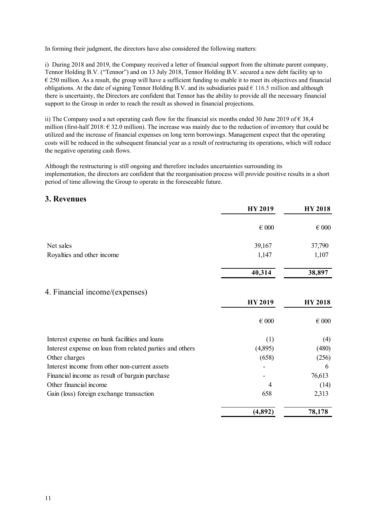In forming their judgment, the directors have also considered the following matters:

i) During 2018 and 2019, the Company received a letter of financial support from the ultimate parent company, Tennor Holding B.V. ("Tennor") and on 13 July 2018, Tennor Holding B.V. secured a new debt facility up to  $\epsilon$  250 million. As a result, the group will have a sufficient funding to enable it to meet its objectives and financial obligations. At the date of signing Tennor Holding B.V. and its subsidiaries paid  $\epsilon$  116.5 million and although there is uncertainty, the Directors are confident that Tennor has the ability to provide all the necessary financial support to the Group in order to reach the result as showed in financial projections.

ii) The Company used a net operating cash flow for the financial six months ended 30 June 2019 of  $\epsilon$  38,4 million (first-half  $2018: \in 32.0$  million). The increase was mainly due to the reduction of inventory that could be utilized and the increase of financial expenses on long term borrowings. Management expect that the operating costs will be reduced in the subsequent financial year as a result of restructuring its operations, which will reduce the negative operating cash flows.

Although the restructuring is still ongoing and therefore includes uncertainties surrounding its implementation, the directors are confident that the reorganisation process will provide positive results in a short period of time allowing the Group to operate in the foreseeable future.

### **3. Revenues**

|                                                          | <b>HY 2019</b> | <b>HY 2018</b> |
|----------------------------------------------------------|----------------|----------------|
|                                                          | $\in 000$      | $\epsilon$ 000 |
| Net sales                                                | 39,167         | 37,790         |
| Royalties and other income                               | 1,147          | 1,107          |
|                                                          | 40,314         | 38,897         |
| 4. Financial income/(expenses)                           |                |                |
|                                                          | <b>HY 2019</b> | <b>HY 2018</b> |
|                                                          | $\in 000$      | $\in 000$      |
| Interest expense on bank facilities and loans            | (1)            | (4)            |
| Interest expense on loan from related parties and others | (4,895)        | (480)          |
| Other charges                                            | (658)          | (256)          |
| Interest income from other non-current assets            |                | 6              |
| Financial income as result of bargain purchase           |                | 76,613         |
| Other financial income                                   | 4              | (14)           |
| Gain (loss) foreign exchange transaction                 | 658            | 2,313          |
|                                                          | (4, 892)       | 78,178         |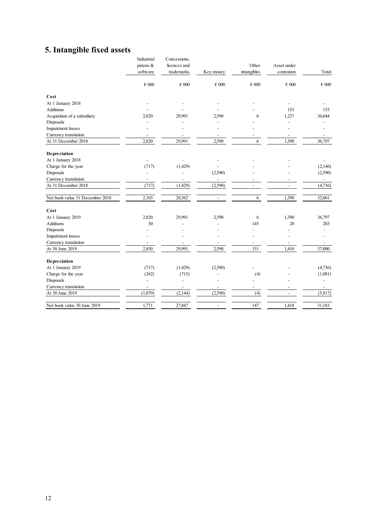## **5. Intangible fixed assets**

|                                 | Industrial     | Concessions, |                          |                          |                          |                          |
|---------------------------------|----------------|--------------|--------------------------|--------------------------|--------------------------|--------------------------|
|                                 | patens &       | licences and |                          | Other                    | Asset under              |                          |
|                                 | software       | trademarks   | Key money                | intangibles              | contrution               | Total                    |
|                                 | $\in 000$      | $\in 000$    | $\epsilon$ 000           | $\epsilon$ 000           | $\epsilon$ 000           | $\epsilon$ 000           |
| Cost                            |                |              |                          |                          |                          |                          |
| At 1 January 2018               |                |              |                          |                          |                          |                          |
| <b>Additions</b>                |                |              |                          |                          | 153                      | 153                      |
| Acquisition of a subsidiary     | 2,820          | 29,991       | 2,590                    | 6                        | 1,237                    | 36,644                   |
| Disposals                       |                |              |                          |                          |                          |                          |
| Impairment losses               |                |              |                          |                          |                          |                          |
| Currency translation            |                |              | $\overline{a}$           |                          | $\overline{\phantom{a}}$ |                          |
| At 31 December 2018             | 2,820          | 29.991       | 2,590                    | 6                        | 1,390                    | 36,797                   |
| Depreciation                    |                |              |                          |                          |                          |                          |
| At 1 January 2018               | $\overline{a}$ |              | ÷                        |                          |                          |                          |
| Charge for the year             | (717)          | (1,429)      |                          |                          |                          | (2,146)                  |
| Disposals                       | ÷,             |              | (2,590)                  |                          |                          | (2,590)                  |
| Currency translation            |                |              | $\overline{\phantom{0}}$ |                          |                          | $\overline{\phantom{0}}$ |
| At 31 December 2018             | (717)          | (1,429)      | (2,590)                  | $\overline{\phantom{a}}$ | $\overline{a}$           | (4,736)                  |
| Net book value 31 December 2018 | 2,103          | 28,562       | $\overline{a}$           | 6                        | 1,390                    | 32,061                   |
| Cost                            |                |              |                          |                          |                          |                          |
| At 1 January 2019               | 2,820          | 29,991       | 2,590                    | 6                        | 1,390                    | 36,797                   |
| Additions                       | 30             |              |                          | 145                      | 28                       | 203                      |
| Disposals                       |                |              |                          |                          |                          |                          |
| Impairment losses               |                |              |                          |                          |                          |                          |
| Currency translation            |                |              | $\overline{\phantom{a}}$ | $\overline{\phantom{a}}$ | $\overline{\phantom{a}}$ |                          |
| At 30 June 2019                 | 2,850          | 29.991       | 2,590                    | 151                      | 1,418                    | 37,000                   |
| Depreciation                    |                |              |                          |                          |                          |                          |
| At 1 January 2019               | (717)          | (1,429)      | (2,590)                  |                          |                          | (4,736)                  |
| Charge for the year             | (362)          | (715)        |                          | (4)                      |                          | (1,081)                  |
| Disposals                       | ÷,             |              |                          |                          |                          | $\overline{a}$           |
| Currency translation            | ÷,             |              | $\overline{a}$           | $\overline{a}$           |                          |                          |
| At 30 June 2019                 | (1,079)        | (2,144)      | (2,590)                  | (4)                      | $\overline{\phantom{a}}$ | (5,817)                  |
| Net book value 30 June 2019     | 1,771          | 27,847       | $\overline{\phantom{0}}$ | 147                      | 1,418                    | 31,183                   |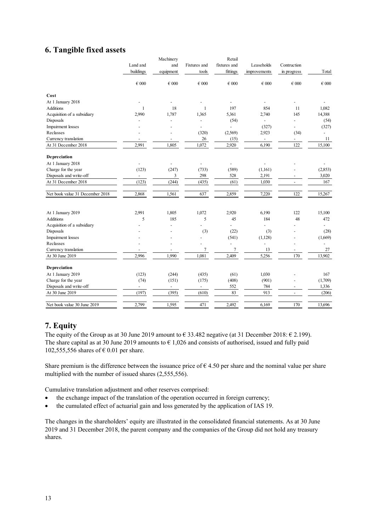### **6. Tangible fixed assets**

|                                 |                          | Machinery                |                          | Retail                   |                          |                          |                          |
|---------------------------------|--------------------------|--------------------------|--------------------------|--------------------------|--------------------------|--------------------------|--------------------------|
|                                 | Land and                 | and                      | Fixtures and             | fixtures and             | Leaseholds               | Contruction              |                          |
|                                 | buildings                | equipment                | tools                    | fittings                 | improvements             | in progress              | Total                    |
|                                 | $\in 000$                | $\epsilon$ 000           | $\epsilon$ 000           | $\epsilon$ 000           | $\epsilon$ 000           | $\epsilon$ 000           | $\epsilon$ 000           |
| Cost                            |                          |                          |                          |                          |                          |                          |                          |
| At 1 January 2018               |                          |                          |                          |                          |                          |                          |                          |
| <b>Additions</b>                | $\mathbf{1}$             | 18                       | $\mathbf{1}$             | 197                      | 854                      | 11                       | 1,082                    |
| Acquisition of a subsidiary     | 2,990                    | 1,787                    | 1,365                    | 5,361                    | 2,740                    | 145                      | 14,388                   |
| Disposals                       |                          |                          | $\overline{a}$           | (54)                     | $\frac{1}{2}$            |                          | (54)                     |
| Impairment losses               |                          |                          | $\overline{a}$           | $\overline{a}$           | (327)                    |                          | (327)                    |
| Reclasses                       |                          | ٠                        | (320)                    | (2,569)                  | 2,923                    | (34)                     | $\overline{\phantom{0}}$ |
| Currency translation            |                          | ÷,                       | 26                       | (15)                     | $\overline{\phantom{a}}$ | $\overline{\phantom{a}}$ | 11                       |
| At 31 December 2018             | 2,991                    | 1,805                    | 1,072                    | 2,920                    | 6,190                    | 122                      | 15,100                   |
| Depreciation                    |                          |                          |                          |                          |                          |                          |                          |
| At 1 January 2018               | $\overline{a}$           |                          | $\overline{a}$           | $\overline{\phantom{a}}$ |                          |                          |                          |
| Charge for the year             | (123)                    | (247)                    | (733)                    | (589)                    | (1,161)                  |                          | (2,853)                  |
| Disposals and write-off         | $\overline{\phantom{a}}$ | 3                        | 298                      | 528                      | 2,191                    | $\overline{\phantom{a}}$ | 3,020                    |
| At 31 December 2018             | (123)                    | (244)                    | (435)                    | (61)                     | 1,030                    | $\overline{\phantom{a}}$ | 167                      |
| Net book value 31 December 2018 | 2,868                    | 1,561                    | 637                      | 2,859                    | 7,220                    | 122                      | 15,267                   |
|                                 |                          |                          |                          |                          |                          |                          |                          |
|                                 |                          |                          |                          |                          |                          |                          |                          |
| At 1 January 2019               | 2,991                    | 1,805                    | 1,072                    | 2,920                    | 6,190                    | 122                      | 15,100                   |
| <b>Additions</b>                | 5                        | 185                      | 5                        | 45                       | 184                      | 48                       | 472                      |
| Acquisition of a subsidiary     |                          | $\overline{a}$           | $\overline{a}$           | $\overline{a}$           | $\overline{a}$           |                          | $\overline{a}$           |
| Disposals                       |                          |                          | (3)                      | (22)                     | (3)                      |                          | (28)                     |
| Impairment losses               |                          |                          | $\overline{a}$           | (541)                    | (1,128)                  |                          | (1,669)                  |
| Reclasses                       |                          | $\overline{\phantom{a}}$ | $\overline{a}$           | $\overline{\phantom{0}}$ | $\overline{a}$           | $\overline{\phantom{a}}$ |                          |
| Currency translation            |                          | Ĭ.                       | 7                        | $\tau$                   | 13                       | $\overline{\phantom{0}}$ | 27                       |
| At 30 June 2019                 | 2.996                    | 1,990                    | 1,081                    | 2,409                    | 5,256                    | 170                      | 13,902                   |
| Depreciation                    |                          |                          |                          |                          |                          |                          |                          |
| At 1 January 2019               | (123)                    | (244)                    | (435)                    | (61)                     | 1,030                    |                          | 167                      |
| Charge for the year             | (74)                     | (151)                    | (175)                    | (408)                    | (901)                    |                          | (1,709)                  |
| Disposals and write-off         | $\overline{\phantom{a}}$ | $\overline{\phantom{a}}$ | $\overline{\phantom{0}}$ | 552                      | 784                      | $\overline{a}$           | 1,336                    |
| At 30 June 2019                 | (197)                    | (395)                    | (610)                    | 83                       | 913                      | $\overline{\phantom{a}}$ | (206)                    |
| Net book value 30 June 2019     | 2,799                    | 1,595                    | 471                      | 2,492                    | 6,169                    | 170                      | 13,696                   |
|                                 |                          |                          |                          |                          |                          |                          |                          |

### **7. Equity**

The equity of the Group as at 30 June 2019 amount to  $\epsilon$  33.482 negative (at 31 December 2018:  $\epsilon$  2.199). The share capital as at 30 June 2019 amounts to  $\epsilon$  1,026 and consists of authorised, issued and fully paid 102,555,556 shares of  $\epsilon$  0.01 per share.

Share premium is the difference between the issuance price of  $\epsilon$  4.50 per share and the nominal value per share multiplied with the number of issued shares (2,555,556).

Cumulative translation adjustment and other reserves comprised:

- the exchange impact of the translation of the operation occurred in foreign currency;
- the cumulated effect of actuarial gain and loss generated by the application of IAS 19.

The changes in the shareholders' equity are illustrated in the consolidated financial statements. As at 30 June 2019 and 31 December 2018, the parent company and the companies of the Group did not hold any treasury shares.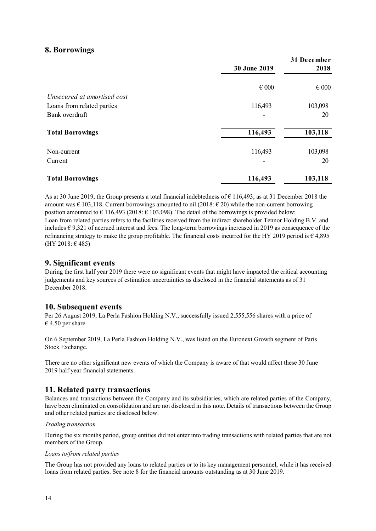### **8. Borrowings**

|                             |                | 31 December    |
|-----------------------------|----------------|----------------|
|                             | 30 June 2019   | 2018           |
|                             | $\epsilon$ 000 | $\epsilon$ 000 |
| Unsecured at amortised cost |                |                |
| Loans from related parties  | 116,493        | 103,098        |
| Bank overdraft              |                | 20             |
| <b>Total Borrowings</b>     | 116,493        | 103,118        |
| Non-current                 | 116,493        | 103,098        |
| Current                     |                | 20             |
| <b>Total Borrowings</b>     | 116,493        | 103,118        |

As at 30 June 2019, the Group presents a total financial indebtedness of  $\epsilon$  116,493; as at 31 December 2018 the amount was  $\in$  103,118. Current borrowings amounted to nil (2018:  $\in$  20) while the non-current borrowing position amounted to  $\in$  116,493 (2018:  $\in$  103,098). The detail of the borrowings is provided below: Loan from related parties refers to the facilities received from the indirect shareholder Tennor Holding B.V. and includes  $\epsilon$  9,321 of accrued interest and fees. The long-term borrowings increased in 2019 as consequence of the refinancing strategy to make the group profitable. The financial costs incurred for the HY 2019 period is  $\epsilon$  4,895 (HY 2018: € 485)

### **9. Significant events**

During the first half year 2019 there were no significant events that might have impacted the critical accounting judgements and key sources of estimation uncertainties as disclosed in the financial statements as of 31 December 2018.

#### **10. Subsequent events**

Per 26 August 2019, La Perla Fashion Holding N.V., successfully issued 2,555,556 shares with a price of  $\epsilon$  4.50 per share.

On 6 September 2019, La Perla Fashion Holding N.V., was listed on the Euronext Growth segment of Paris Stock Exchange.

There are no other significant new events of which the Company is aware of that would affect these 30 June 2019 half year financial statements.

### **11. Related party transactions**

Balances and transactions between the Company and its subsidiaries, which are related parties of the Company, have been eliminated on consolidation and are not disclosed in this note. Details of transactions between the Group and other related parties are disclosed below.

#### *Trading transaction*

During the six months period, group entities did not enter into trading transactions with related parties that are not members of the Group.

#### *Loans to/from related parties*

The Group has not provided any loans to related parties or to its key management personnel, while it has received loans from related parties. See note 8 for the financial amounts outstanding as at 30 June 2019.